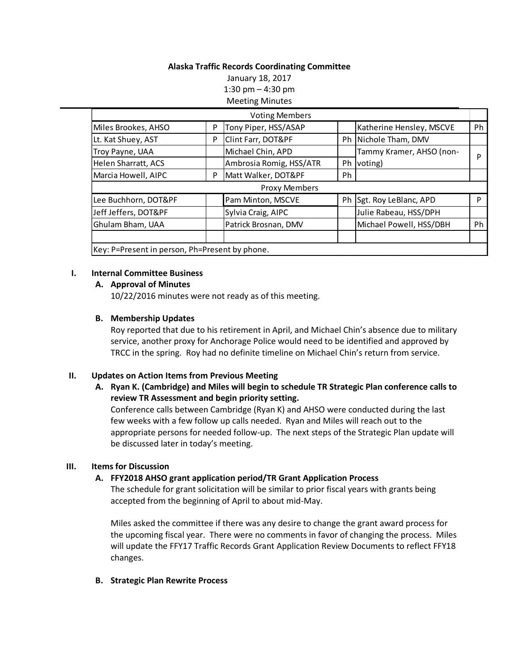# **Alaska Traffic Records Coordinating Committee**

January 18, 2017 1:30 pm – 4:30 pm Meeting Minutes

|                            |   | <b>Voting Members</b>   |    |                          |    |
|----------------------------|---|-------------------------|----|--------------------------|----|
| Miles Brookes, AHSO        | P | Tony Piper, HSS/ASAP    |    | Katherine Hensley, MSCVE | Ph |
| Lt. Kat Shuey, AST         | P | Clint Farr, DOT&PF      |    | Ph Nichole Tham, DMV     |    |
| Troy Payne, UAA            |   | Michael Chin, APD       |    | Tammy Kramer, AHSO (non- | D  |
| <b>Helen Sharratt, ACS</b> |   | Ambrosia Romig, HSS/ATR | Ph | voting)                  |    |
| Marcia Howell, AIPC        | P | Matt Walker, DOT&PF     | Ph |                          |    |
|                            |   |                         |    |                          |    |
|                            |   | <b>Proxy Members</b>    |    |                          |    |
| Lee Buchhorn, DOT&PF       |   | Pam Minton, MSCVE       | Ph | Sgt. Roy LeBlanc, APD    | D  |
| Jeff Jeffers, DOT&PF       |   | Sylvia Craig, AIPC      |    | Julie Rabeau, HSS/DPH    |    |
| Ghulam Bham, UAA           |   | Patrick Brosnan, DMV    |    | Michael Powell, HSS/DBH  | Ph |
|                            |   |                         |    |                          |    |

## **I. Internal Committee Business**

## **A. Approval of Minutes**

10/22/2016 minutes were not ready as of this meeting.

## **B. Membership Updates**

Roy reported that due to his retirement in April, and Michael Chin's absence due to military service, another proxy for Anchorage Police would need to be identified and approved by TRCC in the spring. Roy had no definite timeline on Michael Chin's return from service.

# **II. Updates on Action Items from Previous Meeting**

**A. Ryan K. (Cambridge) and Miles will begin to schedule TR Strategic Plan conference calls to review TR Assessment and begin priority setting.**

Conference calls between Cambridge (Ryan K) and AHSO were conducted during the last few weeks with a few follow up calls needed. Ryan and Miles will reach out to the appropriate persons for needed follow-up. The next steps of the Strategic Plan update will be discussed later in today's meeting.

### **III. Items for Discussion**

# **A. FFY2018 AHSO grant application period/TR Grant Application Process**

The schedule for grant solicitation will be similar to prior fiscal years with grants being accepted from the beginning of April to about mid-May.

Miles asked the committee if there was any desire to change the grant award process for the upcoming fiscal year. There were no comments in favor of changing the process. Miles will update the FFY17 Traffic Records Grant Application Review Documents to reflect FFY18 changes.

# **B. Strategic Plan Rewrite Process**